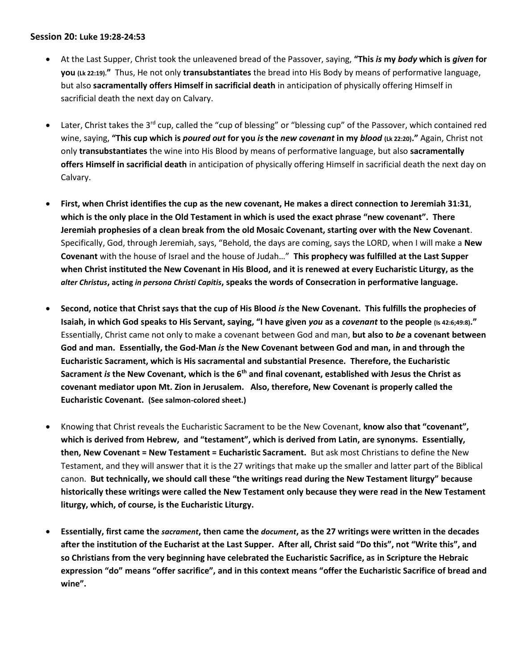## **Session 20: Luke 19:28-24:53**

- At the Last Supper, Christ took the unleavened bread of the Passover, saying, **"This** *is* **my** *body* **which is** *given* **for you (Lk 22:19)."** Thus, He not only **transubstantiates** the bread into His Body by means of performative language, but also **sacramentally offers Himself in sacrificial death** in anticipation of physically offering Himself in sacrificial death the next day on Calvary.
- Later, Christ takes the 3<sup>rd</sup> cup, called the "cup of blessing" or "blessing cup" of the Passover, which contained red wine, saying, **"This cup which is** *poured out* **for you** *is* **the** *new covenant* **in my** *blood* **(Lk 22:20)."** Again, Christ not only **transubstantiates** the wine into His Blood by means of performative language, but also **sacramentally offers Himself in sacrificial death** in anticipation of physically offering Himself in sacrificial death the next day on Calvary.
- **First, when Christ identifies the cup as the new covenant, He makes a direct connection to Jeremiah 31:31**, **which is the only place in the Old Testament in which is used the exact phrase "new covenant". There Jeremiah prophesies of a clean break from the old Mosaic Covenant, starting over with the New Covenant**. Specifically, God, through Jeremiah, says, "Behold, the days are coming, says the LORD, when I will make a **New Covenant** with the house of Israel and the house of Judah…" **This prophecy was fulfilled at the Last Supper when Christ instituted the New Covenant in His Blood, and it is renewed at every Eucharistic Liturgy, as the**  *alter Christus***, acting** *in persona Christi Capitis***, speaks the words of Consecration in performative language.**
- **Second, notice that Christ says that the cup of His Blood** *is* **the New Covenant. This fulfills the prophecies of Isaiah, in which God speaks to His Servant, saying, "I have given** *you* **as a** *covenant* **to the people (Is 42:6;49:8)."** Essentially, Christ came not only to make a covenant between God and man, **but also to** *be* **a covenant between God and man. Essentially, the God-Man** *is* **the New Covenant between God and man, in and through the Eucharistic Sacrament, which is His sacramental and substantial Presence. Therefore, the Eucharistic Sacrament** *is* **the New Covenant, which is the 6th and final covenant, established with Jesus the Christ as covenant mediator upon Mt. Zion in Jerusalem. Also, therefore, New Covenant is properly called the Eucharistic Covenant. (See salmon-colored sheet.)**
- Knowing that Christ reveals the Eucharistic Sacrament to be the New Covenant, **know also that "covenant", which is derived from Hebrew, and "testament", which is derived from Latin, are synonyms. Essentially, then, New Covenant = New Testament = Eucharistic Sacrament.** But ask most Christians to define the New Testament, and they will answer that it is the 27 writings that make up the smaller and latter part of the Biblical canon. **But technically, we should call these "the writings read during the New Testament liturgy" because historically these writings were called the New Testament only because they were read in the New Testament liturgy, which, of course, is the Eucharistic Liturgy.**
- **Essentially, first came the** *sacrament***, then came the** *document***, as the 27 writings were written in the decades after the institution of the Eucharist at the Last Supper. After all, Christ said "Do this", not "Write this", and so Christians from the very beginning have celebrated the Eucharistic Sacrifice, as in Scripture the Hebraic expression "do" means "offer sacrifice", and in this context means "offer the Eucharistic Sacrifice of bread and wine".**